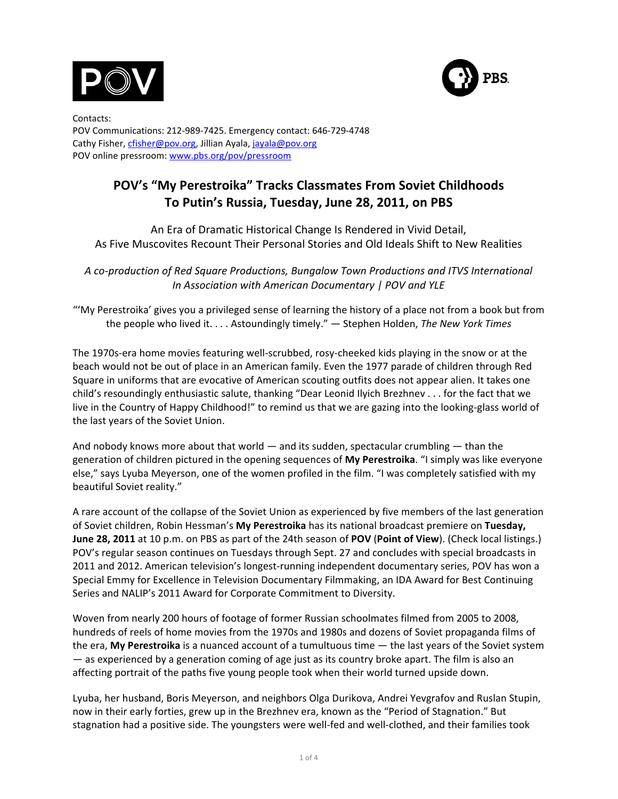



Contacts: POV Communications: 212-989-7425. Emergency contact: 646-729-4748 Cathy Fisher, cfisher@pov.org, Jillian Ayala, jayala@pov.org POV online pressroom: www.pbs.org/pov/pressroom

# POV's "My Perestroika" Tracks Classmates From Soviet Childhoods To Putin's Russia, Tuesday, June 28, 2011, on PBS

An Era of Dramatic Historical Change Is Rendered in Vivid Detail, As Five Muscovites Recount Their Personal Stories and Old Ideals Shift to New Realities

A co-production of Red Square Productions, Bungalow Town Productions and ITVS International *In"Association"with"American"Documentary"|"POV"and"YLE"*

"'My Perestroika' gives you a privileged sense of learning the history of a place not from a book but from the people who lived it. . . . Astoundingly timely." — Stephen Holden, The New York Times

The 1970s-era home movies featuring well-scrubbed, rosy-cheeked kids playing in the snow or at the beach would not be out of place in an American family. Even the 1977 parade of children through Red Square in uniforms that are evocative of American scouting outfits does not appear alien. It takes one child's resoundingly enthusiastic salute, thanking "Dear Leonid Ilyich Brezhnev . . . for the fact that we live in the Country of Happy Childhood!" to remind us that we are gazing into the looking-glass world of the last years of the Soviet Union.

And nobody knows more about that world  $-$  and its sudden, spectacular crumbling  $-$  than the generation of children pictured in the opening sequences of My Perestroika. "I simply was like everyone else," says Lyuba Meyerson, one of the women profiled in the film. "I was completely satisfied with my beautiful Soviet reality."

A rare account of the collapse of the Soviet Union as experienced by five members of the last generation of Soviet children, Robin Hessman's My Perestroika has its national broadcast premiere on Tuesday, **June 28, 2011** at 10 p.m. on PBS as part of the 24th season of POV (Point of View). (Check local listings.) POV's regular season continues on Tuesdays through Sept. 27 and concludes with special broadcasts in 2011 and 2012. American television's longest-running independent documentary series, POV has won a Special Emmy for Excellence in Television Documentary Filmmaking, an IDA Award for Best Continuing Series and NALIP's 2011 Award for Corporate Commitment to Diversity.

Woven from nearly 200 hours of footage of former Russian schoolmates filmed from 2005 to 2008, hundreds of reels of home movies from the 1970s and 1980s and dozens of Soviet propaganda films of the era, My Perestroika is a nuanced account of a tumultuous time — the last years of the Soviet system — as experienced by a generation coming of age just as its country broke apart. The film is also an affecting portrait of the paths five young people took when their world turned upside down.

Lyuba, her husband, Boris Meyerson, and neighbors Olga Durikova, Andrei Yevgrafov and Ruslan Stupin, now in their early forties, grew up in the Brezhnev era, known as the "Period of Stagnation." But stagnation had a positive side. The youngsters were well-fed and well-clothed, and their families took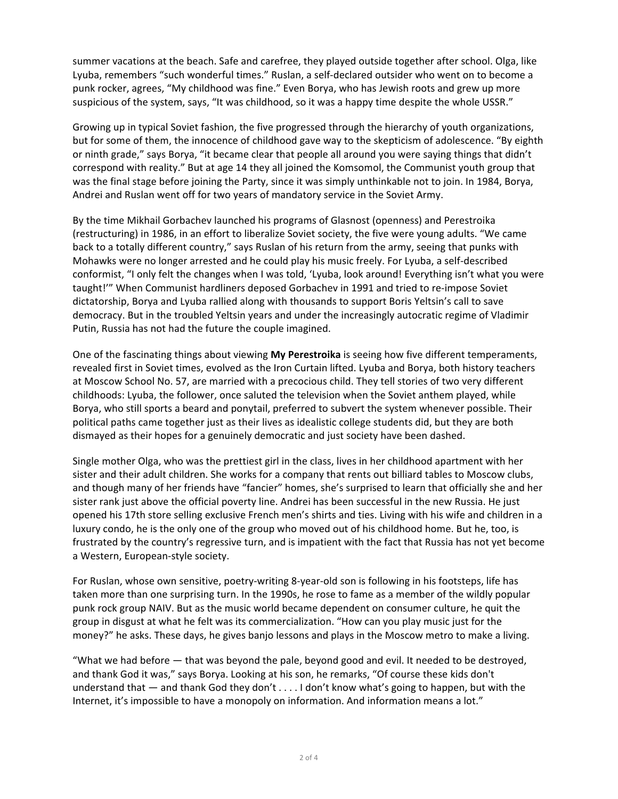summer vacations at the beach. Safe and carefree, they played outside together after school. Olga, like Lyuba, remembers "such wonderful times." Ruslan, a self-declared outsider who went on to become a punk rocker, agrees, "My childhood was fine." Even Borya, who has Jewish roots and grew up more suspicious of the system, says, "It was childhood, so it was a happy time despite the whole USSR."

Growing up in typical Soviet fashion, the five progressed through the hierarchy of youth organizations, but for some of them, the innocence of childhood gave way to the skepticism of adolescence. "By eighth" or ninth grade," says Borya, "it became clear that people all around you were saying things that didn't correspond with reality." But at age 14 they all joined the Komsomol, the Communist youth group that was the final stage before joining the Party, since it was simply unthinkable not to join. In 1984, Borya, Andrei and Ruslan went off for two years of mandatory service in the Soviet Army.

By the time Mikhail Gorbachev launched his programs of Glasnost (openness) and Perestroika (restructuring) in 1986, in an effort to liberalize Soviet society, the five were young adults. "We came back to a totally different country," says Ruslan of his return from the army, seeing that punks with Mohawks were no longer arrested and he could play his music freely. For Lyuba, a self-described conformist, "I only felt the changes when I was told, 'Lyuba, look around! Everything isn't what you were taught!"" When Communist hardliners deposed Gorbachev in 1991 and tried to re-impose Soviet dictatorship, Borya and Lyuba rallied along with thousands to support Boris Yeltsin's call to save democracy. But in the troubled Yeltsin years and under the increasingly autocratic regime of Vladimir Putin, Russia has not had the future the couple imagined.

One of the fascinating things about viewing My Perestroika is seeing how five different temperaments, revealed first in Soviet times, evolved as the Iron Curtain lifted. Lyuba and Borya, both history teachers at Moscow School No. 57, are married with a precocious child. They tell stories of two very different childhoods: Lyuba, the follower, once saluted the television when the Soviet anthem played, while Borya, who still sports a beard and ponytail, preferred to subvert the system whenever possible. Their political paths came together just as their lives as idealistic college students did, but they are both dismayed as their hopes for a genuinely democratic and just society have been dashed.

Single mother Olga, who was the prettiest girl in the class, lives in her childhood apartment with her sister and their adult children. She works for a company that rents out billiard tables to Moscow clubs, and though many of her friends have "fancier" homes, she's surprised to learn that officially she and her sister rank just above the official poverty line. Andrei has been successful in the new Russia. He just opened his 17th store selling exclusive French men's shirts and ties. Living with his wife and children in a luxury condo, he is the only one of the group who moved out of his childhood home. But he, too, is frustrated by the country's regressive turn, and is impatient with the fact that Russia has not yet become a Western, European-style society.

For Ruslan, whose own sensitive, poetry-writing 8-year-old son is following in his footsteps, life has taken more than one surprising turn. In the 1990s, he rose to fame as a member of the wildly popular punk rock group NAIV. But as the music world became dependent on consumer culture, he quit the group in disgust at what he felt was its commercialization. "How can you play music just for the money?" he asks. These days, he gives banjo lessons and plays in the Moscow metro to make a living.

"What we had before — that was beyond the pale, beyond good and evil. It needed to be destroyed, and thank God it was," says Borya. Looking at his son, he remarks, "Of course these kids don't understand that — and thank God they don't . . . . I don't know what's going to happen, but with the Internet, it's impossible to have a monopoly on information. And information means a lot."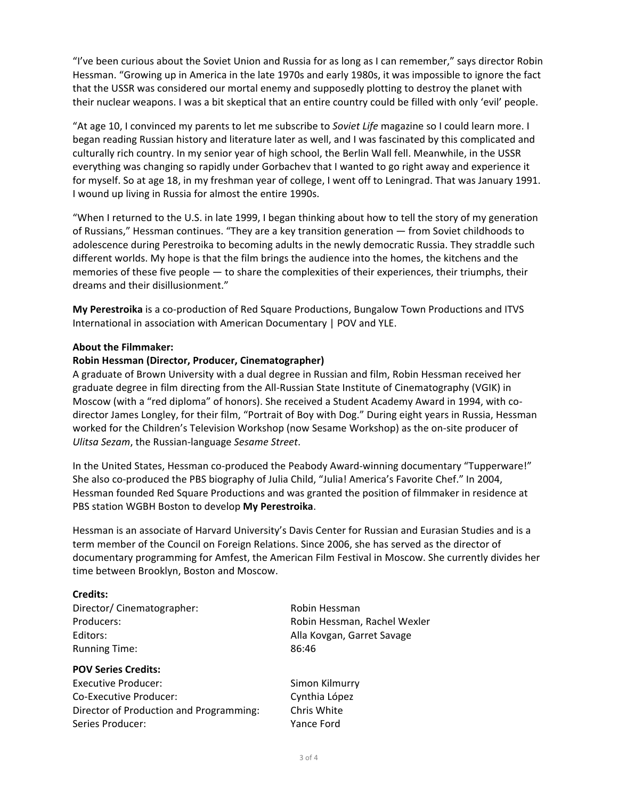"I've been curious about the Soviet Union and Russia for as long as I can remember," says director Robin Hessman. "Growing up in America in the late 1970s and early 1980s, it was impossible to ignore the fact that the USSR was considered our mortal enemy and supposedly plotting to destroy the planet with their nuclear weapons. I was a bit skeptical that an entire country could be filled with only 'evil' people.

"At age 10, I convinced my parents to let me subscribe to Soviet Life magazine so I could learn more. I began reading Russian history and literature later as well, and I was fascinated by this complicated and culturally rich country. In my senior year of high school, the Berlin Wall fell. Meanwhile, in the USSR everything was changing so rapidly under Gorbachev that I wanted to go right away and experience it for myself. So at age 18, in my freshman year of college, I went off to Leningrad. That was January 1991. I wound up living in Russia for almost the entire 1990s.

"When I returned to the U.S. in late 1999, I began thinking about how to tell the story of my generation of Russians," Hessman continues. "They are a key transition generation — from Soviet childhoods to adolescence during Perestroika to becoming adults in the newly democratic Russia. They straddle such different worlds. My hope is that the film brings the audience into the homes, the kitchens and the memories of these five people — to share the complexities of their experiences, their triumphs, their dreams and their disillusionment."

My Perestroika is a co-production of Red Square Productions, Bungalow Town Productions and ITVS International in association with American Documentary | POV and YLE.

# **About the Filmmaker:**

# Robin Hessman (Director, Producer, Cinematographer)

A graduate of Brown University with a dual degree in Russian and film, Robin Hessman received her graduate degree in film directing from the All-Russian State Institute of Cinematography (VGIK) in Moscow (with a "red diploma" of honors). She received a Student Academy Award in 1994, with codirector James Longley, for their film, "Portrait of Boy with Dog." During eight years in Russia, Hessman worked for the Children's Television Workshop (now Sesame Workshop) as the on-site producer of *Ulitsa Sezam, the Russian-language Sesame Street.* 

In the United States, Hessman co-produced the Peabody Award-winning documentary "Tupperware!" She also co-produced the PBS biography of Julia Child, "Julia! America's Favorite Chef." In 2004, Hessman founded Red Square Productions and was granted the position of filmmaker in residence at PBS station WGBH Boston to develop My Perestroika.

Hessman is an associate of Harvard University's Davis Center for Russian and Eurasian Studies and is a term member of the Council on Foreign Relations. Since 2006, she has served as the director of documentary programming for Amfest, the American Film Festival in Moscow. She currently divides her time between Brooklyn, Boston and Moscow.

## **Credits:**

Director/ Cinematographer: Robin Hessman Editors: Calla Kovgan, Garret Savage Running Time: 86:46

#### **POV Series Credits:**

Executive Producer: Simon Kilmurry Co-Executive Producer: Co-Executive Producer: Director of Production and Programming: Chris White Series Producer: Yance Ford

Producers: Robin Hessman, Rachel Wexler